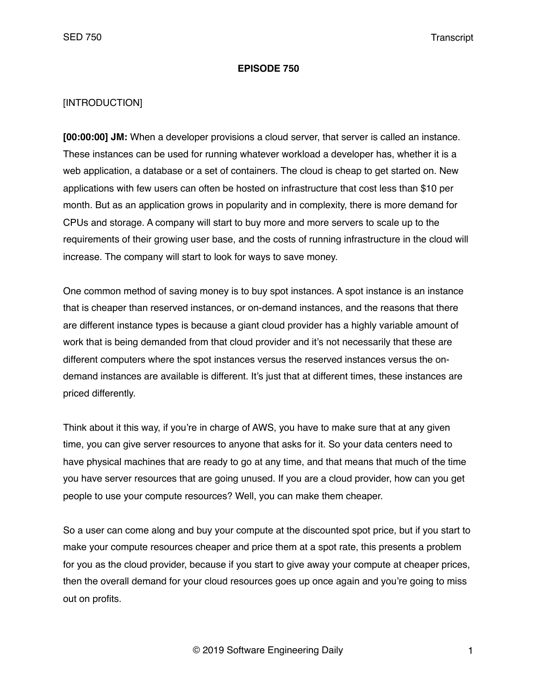#### **EPISODE 750**

## [INTRODUCTION]

**[00:00:00] JM:** When a developer provisions a cloud server, that server is called an instance. These instances can be used for running whatever workload a developer has, whether it is a web application, a database or a set of containers. The cloud is cheap to get started on. New applications with few users can often be hosted on infrastructure that cost less than \$10 per month. But as an application grows in popularity and in complexity, there is more demand for CPUs and storage. A company will start to buy more and more servers to scale up to the requirements of their growing user base, and the costs of running infrastructure in the cloud will increase. The company will start to look for ways to save money.

One common method of saving money is to buy spot instances. A spot instance is an instance that is cheaper than reserved instances, or on-demand instances, and the reasons that there are different instance types is because a giant cloud provider has a highly variable amount of work that is being demanded from that cloud provider and it's not necessarily that these are different computers where the spot instances versus the reserved instances versus the ondemand instances are available is different. It's just that at different times, these instances are priced differently.

Think about it this way, if you're in charge of AWS, you have to make sure that at any given time, you can give server resources to anyone that asks for it. So your data centers need to have physical machines that are ready to go at any time, and that means that much of the time you have server resources that are going unused. If you are a cloud provider, how can you get people to use your compute resources? Well, you can make them cheaper.

So a user can come along and buy your compute at the discounted spot price, but if you start to make your compute resources cheaper and price them at a spot rate, this presents a problem for you as the cloud provider, because if you start to give away your compute at cheaper prices, then the overall demand for your cloud resources goes up once again and you're going to miss out on profits.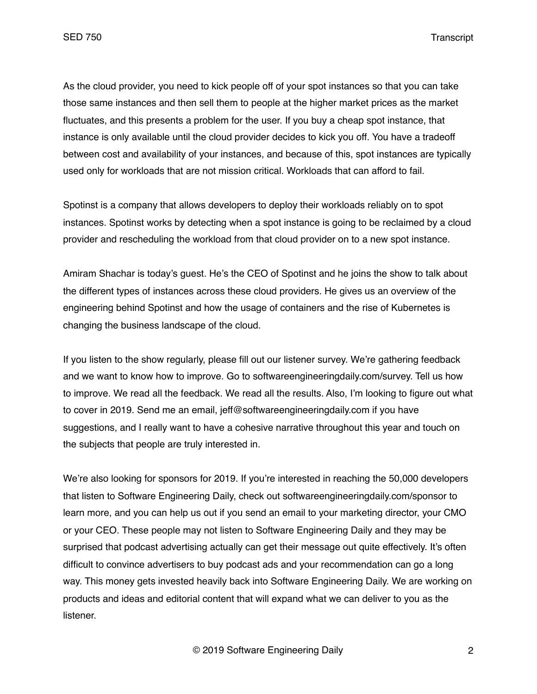As the cloud provider, you need to kick people off of your spot instances so that you can take those same instances and then sell them to people at the higher market prices as the market fluctuates, and this presents a problem for the user. If you buy a cheap spot instance, that instance is only available until the cloud provider decides to kick you off. You have a tradeoff between cost and availability of your instances, and because of this, spot instances are typically used only for workloads that are not mission critical. Workloads that can afford to fail.

Spotinst is a company that allows developers to deploy their workloads reliably on to spot instances. Spotinst works by detecting when a spot instance is going to be reclaimed by a cloud provider and rescheduling the workload from that cloud provider on to a new spot instance.

Amiram Shachar is today's guest. He's the CEO of Spotinst and he joins the show to talk about the different types of instances across these cloud providers. He gives us an overview of the engineering behind Spotinst and how the usage of containers and the rise of Kubernetes is changing the business landscape of the cloud.

If you listen to the show regularly, please fill out our listener survey. We're gathering feedback and we want to know how to improve. Go to softwareengineeringdaily.com/survey. Tell us how to improve. We read all the feedback. We read all the results. Also, I'm looking to figure out what to cover in 2019. Send me an email, jeff@softwareengineeringdaily.com if you have suggestions, and I really want to have a cohesive narrative throughout this year and touch on the subjects that people are truly interested in.

We're also looking for sponsors for 2019. If you're interested in reaching the 50,000 developers that listen to Software Engineering Daily, check out softwareengineeringdaily.com/sponsor to learn more, and you can help us out if you send an email to your marketing director, your CMO or your CEO. These people may not listen to Software Engineering Daily and they may be surprised that podcast advertising actually can get their message out quite effectively. It's often difficult to convince advertisers to buy podcast ads and your recommendation can go a long way. This money gets invested heavily back into Software Engineering Daily. We are working on products and ideas and editorial content that will expand what we can deliver to you as the listener.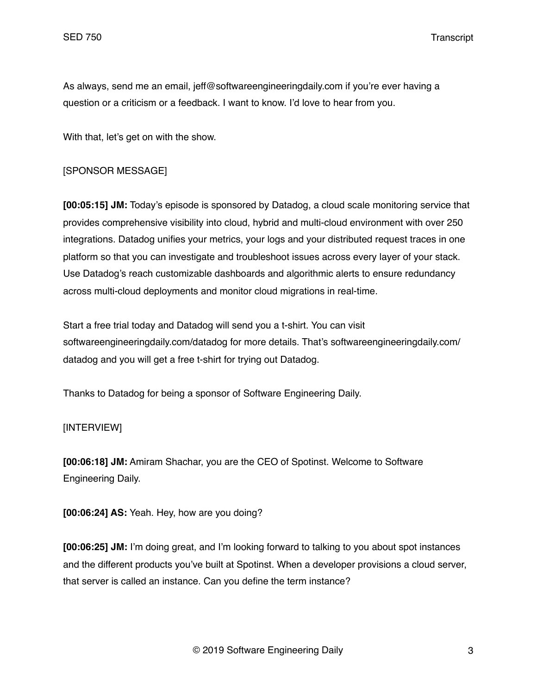As always, send me an email, jeff@softwareengineeringdaily.com if you're ever having a question or a criticism or a feedback. I want to know. I'd love to hear from you.

With that, let's get on with the show.

## [SPONSOR MESSAGE]

**[00:05:15] JM:** Today's episode is sponsored by Datadog, a cloud scale monitoring service that provides comprehensive visibility into cloud, hybrid and multi-cloud environment with over 250 integrations. Datadog unifies your metrics, your logs and your distributed request traces in one platform so that you can investigate and troubleshoot issues across every layer of your stack. Use Datadog's reach customizable dashboards and algorithmic alerts to ensure redundancy across multi-cloud deployments and monitor cloud migrations in real-time.

Start a free trial today and Datadog will send you a t-shirt. You can visit softwareengineeringdaily.com/datadog for more details. That's softwareengineeringdaily.com/ datadog and you will get a free t-shirt for trying out Datadog.

Thanks to Datadog for being a sponsor of Software Engineering Daily.

#### [INTERVIEW]

**[00:06:18] JM:** Amiram Shachar, you are the CEO of Spotinst. Welcome to Software Engineering Daily.

**[00:06:24] AS:** Yeah. Hey, how are you doing?

**[00:06:25] JM:** I'm doing great, and I'm looking forward to talking to you about spot instances and the different products you've built at Spotinst. When a developer provisions a cloud server, that server is called an instance. Can you define the term instance?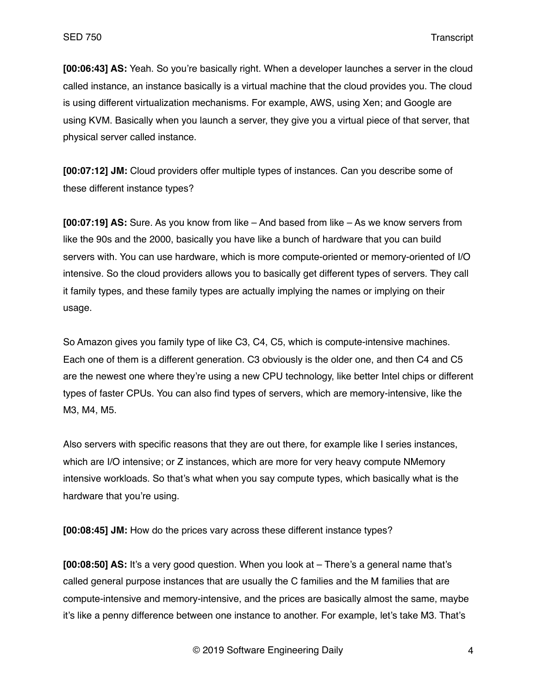**[00:06:43] AS:** Yeah. So you're basically right. When a developer launches a server in the cloud called instance, an instance basically is a virtual machine that the cloud provides you. The cloud is using different virtualization mechanisms. For example, AWS, using Xen; and Google are using KVM. Basically when you launch a server, they give you a virtual piece of that server, that physical server called instance.

**[00:07:12] JM:** Cloud providers offer multiple types of instances. Can you describe some of these different instance types?

**[00:07:19] AS:** Sure. As you know from like – And based from like – As we know servers from like the 90s and the 2000, basically you have like a bunch of hardware that you can build servers with. You can use hardware, which is more compute-oriented or memory-oriented of I/O intensive. So the cloud providers allows you to basically get different types of servers. They call it family types, and these family types are actually implying the names or implying on their usage.

So Amazon gives you family type of like C3, C4, C5, which is compute-intensive machines. Each one of them is a different generation. C3 obviously is the older one, and then C4 and C5 are the newest one where they're using a new CPU technology, like better Intel chips or different types of faster CPUs. You can also find types of servers, which are memory-intensive, like the M3, M4, M5.

Also servers with specific reasons that they are out there, for example like I series instances, which are I/O intensive; or Z instances, which are more for very heavy compute NMemory intensive workloads. So that's what when you say compute types, which basically what is the hardware that you're using.

**[00:08:45] JM:** How do the prices vary across these different instance types?

**[00:08:50] AS:** It's a very good question. When you look at – There's a general name that's called general purpose instances that are usually the C families and the M families that are compute-intensive and memory-intensive, and the prices are basically almost the same, maybe it's like a penny difference between one instance to another. For example, let's take M3. That's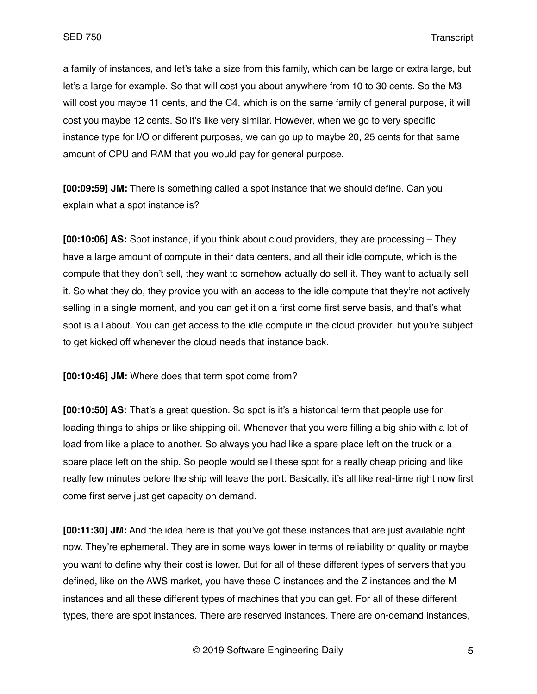a family of instances, and let's take a size from this family, which can be large or extra large, but let's a large for example. So that will cost you about anywhere from 10 to 30 cents. So the M3 will cost you maybe 11 cents, and the C4, which is on the same family of general purpose, it will cost you maybe 12 cents. So it's like very similar. However, when we go to very specific instance type for I/O or different purposes, we can go up to maybe 20, 25 cents for that same amount of CPU and RAM that you would pay for general purpose.

**[00:09:59] JM:** There is something called a spot instance that we should define. Can you explain what a spot instance is?

**[00:10:06] AS:** Spot instance, if you think about cloud providers, they are processing – They have a large amount of compute in their data centers, and all their idle compute, which is the compute that they don't sell, they want to somehow actually do sell it. They want to actually sell it. So what they do, they provide you with an access to the idle compute that they're not actively selling in a single moment, and you can get it on a first come first serve basis, and that's what spot is all about. You can get access to the idle compute in the cloud provider, but you're subject to get kicked off whenever the cloud needs that instance back.

**[00:10:46] JM:** Where does that term spot come from?

**[00:10:50] AS:** That's a great question. So spot is it's a historical term that people use for loading things to ships or like shipping oil. Whenever that you were filling a big ship with a lot of load from like a place to another. So always you had like a spare place left on the truck or a spare place left on the ship. So people would sell these spot for a really cheap pricing and like really few minutes before the ship will leave the port. Basically, it's all like real-time right now first come first serve just get capacity on demand.

**[00:11:30] JM:** And the idea here is that you've got these instances that are just available right now. They're ephemeral. They are in some ways lower in terms of reliability or quality or maybe you want to define why their cost is lower. But for all of these different types of servers that you defined, like on the AWS market, you have these C instances and the Z instances and the M instances and all these different types of machines that you can get. For all of these different types, there are spot instances. There are reserved instances. There are on-demand instances,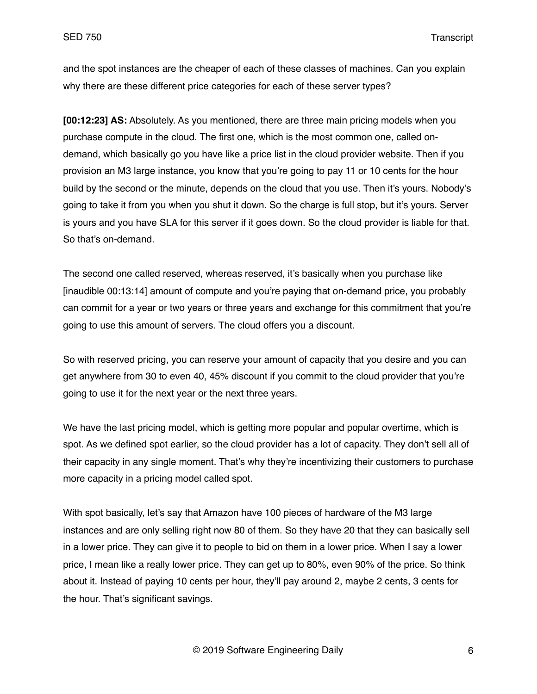and the spot instances are the cheaper of each of these classes of machines. Can you explain why there are these different price categories for each of these server types?

**[00:12:23] AS:** Absolutely. As you mentioned, there are three main pricing models when you purchase compute in the cloud. The first one, which is the most common one, called ondemand, which basically go you have like a price list in the cloud provider website. Then if you provision an M3 large instance, you know that you're going to pay 11 or 10 cents for the hour build by the second or the minute, depends on the cloud that you use. Then it's yours. Nobody's going to take it from you when you shut it down. So the charge is full stop, but it's yours. Server is yours and you have SLA for this server if it goes down. So the cloud provider is liable for that. So that's on-demand.

The second one called reserved, whereas reserved, it's basically when you purchase like [inaudible 00:13:14] amount of compute and you're paying that on-demand price, you probably can commit for a year or two years or three years and exchange for this commitment that you're going to use this amount of servers. The cloud offers you a discount.

So with reserved pricing, you can reserve your amount of capacity that you desire and you can get anywhere from 30 to even 40, 45% discount if you commit to the cloud provider that you're going to use it for the next year or the next three years.

We have the last pricing model, which is getting more popular and popular overtime, which is spot. As we defined spot earlier, so the cloud provider has a lot of capacity. They don't sell all of their capacity in any single moment. That's why they're incentivizing their customers to purchase more capacity in a pricing model called spot.

With spot basically, let's say that Amazon have 100 pieces of hardware of the M3 large instances and are only selling right now 80 of them. So they have 20 that they can basically sell in a lower price. They can give it to people to bid on them in a lower price. When I say a lower price, I mean like a really lower price. They can get up to 80%, even 90% of the price. So think about it. Instead of paying 10 cents per hour, they'll pay around 2, maybe 2 cents, 3 cents for the hour. That's significant savings.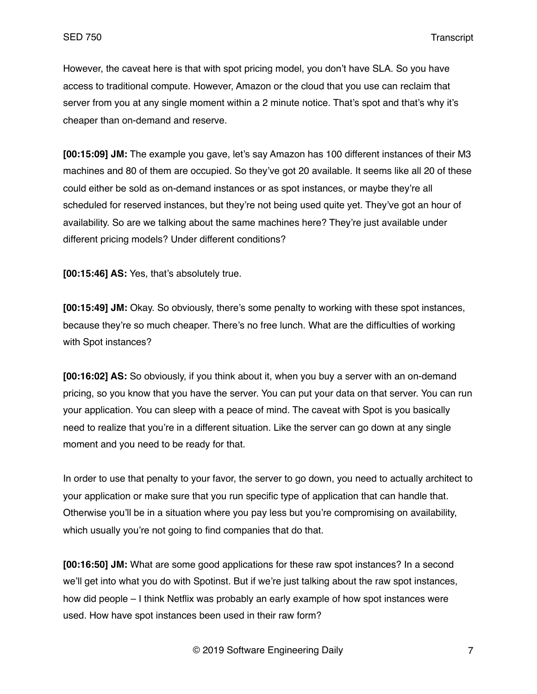However, the caveat here is that with spot pricing model, you don't have SLA. So you have access to traditional compute. However, Amazon or the cloud that you use can reclaim that server from you at any single moment within a 2 minute notice. That's spot and that's why it's cheaper than on-demand and reserve.

**[00:15:09] JM:** The example you gave, let's say Amazon has 100 different instances of their M3 machines and 80 of them are occupied. So they've got 20 available. It seems like all 20 of these could either be sold as on-demand instances or as spot instances, or maybe they're all scheduled for reserved instances, but they're not being used quite yet. They've got an hour of availability. So are we talking about the same machines here? They're just available under different pricing models? Under different conditions?

**[00:15:46] AS:** Yes, that's absolutely true.

**[00:15:49] JM:** Okay. So obviously, there's some penalty to working with these spot instances, because they're so much cheaper. There's no free lunch. What are the difficulties of working with Spot instances?

**[00:16:02] AS:** So obviously, if you think about it, when you buy a server with an on-demand pricing, so you know that you have the server. You can put your data on that server. You can run your application. You can sleep with a peace of mind. The caveat with Spot is you basically need to realize that you're in a different situation. Like the server can go down at any single moment and you need to be ready for that.

In order to use that penalty to your favor, the server to go down, you need to actually architect to your application or make sure that you run specific type of application that can handle that. Otherwise you'll be in a situation where you pay less but you're compromising on availability, which usually you're not going to find companies that do that.

**[00:16:50] JM:** What are some good applications for these raw spot instances? In a second we'll get into what you do with Spotinst. But if we're just talking about the raw spot instances, how did people – I think Netflix was probably an early example of how spot instances were used. How have spot instances been used in their raw form?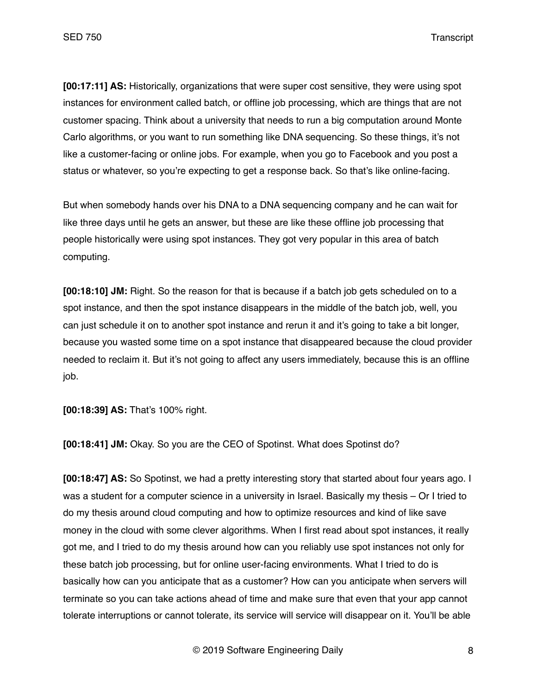**[00:17:11] AS:** Historically, organizations that were super cost sensitive, they were using spot instances for environment called batch, or offline job processing, which are things that are not customer spacing. Think about a university that needs to run a big computation around Monte Carlo algorithms, or you want to run something like DNA sequencing. So these things, it's not like a customer-facing or online jobs. For example, when you go to Facebook and you post a status or whatever, so you're expecting to get a response back. So that's like online-facing.

But when somebody hands over his DNA to a DNA sequencing company and he can wait for like three days until he gets an answer, but these are like these offline job processing that people historically were using spot instances. They got very popular in this area of batch computing.

**[00:18:10] JM:** Right. So the reason for that is because if a batch job gets scheduled on to a spot instance, and then the spot instance disappears in the middle of the batch job, well, you can just schedule it on to another spot instance and rerun it and it's going to take a bit longer, because you wasted some time on a spot instance that disappeared because the cloud provider needed to reclaim it. But it's not going to affect any users immediately, because this is an offline job.

**[00:18:39] AS:** That's 100% right.

**[00:18:41] JM:** Okay. So you are the CEO of Spotinst. What does Spotinst do?

**[00:18:47] AS:** So Spotinst, we had a pretty interesting story that started about four years ago. I was a student for a computer science in a university in Israel. Basically my thesis – Or I tried to do my thesis around cloud computing and how to optimize resources and kind of like save money in the cloud with some clever algorithms. When I first read about spot instances, it really got me, and I tried to do my thesis around how can you reliably use spot instances not only for these batch job processing, but for online user-facing environments. What I tried to do is basically how can you anticipate that as a customer? How can you anticipate when servers will terminate so you can take actions ahead of time and make sure that even that your app cannot tolerate interruptions or cannot tolerate, its service will service will disappear on it. You'll be able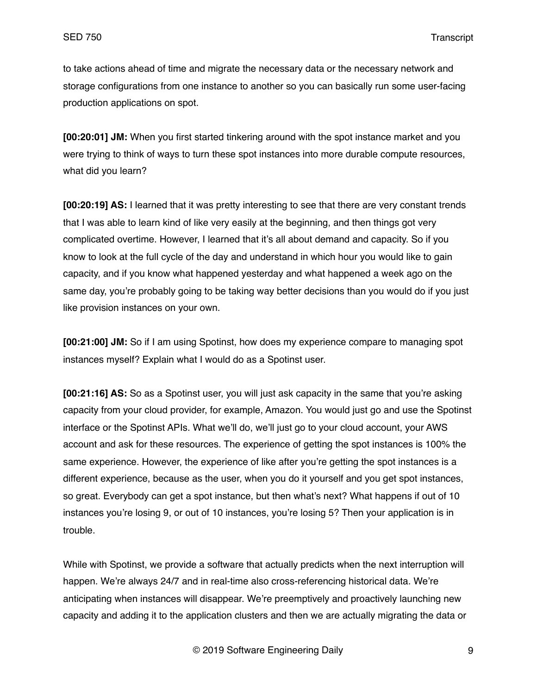to take actions ahead of time and migrate the necessary data or the necessary network and storage configurations from one instance to another so you can basically run some user-facing production applications on spot.

**[00:20:01] JM:** When you first started tinkering around with the spot instance market and you were trying to think of ways to turn these spot instances into more durable compute resources, what did you learn?

**[00:20:19] AS:** I learned that it was pretty interesting to see that there are very constant trends that I was able to learn kind of like very easily at the beginning, and then things got very complicated overtime. However, I learned that it's all about demand and capacity. So if you know to look at the full cycle of the day and understand in which hour you would like to gain capacity, and if you know what happened yesterday and what happened a week ago on the same day, you're probably going to be taking way better decisions than you would do if you just like provision instances on your own.

**[00:21:00] JM:** So if I am using Spotinst, how does my experience compare to managing spot instances myself? Explain what I would do as a Spotinst user.

**[00:21:16] AS:** So as a Spotinst user, you will just ask capacity in the same that you're asking capacity from your cloud provider, for example, Amazon. You would just go and use the Spotinst interface or the Spotinst APIs. What we'll do, we'll just go to your cloud account, your AWS account and ask for these resources. The experience of getting the spot instances is 100% the same experience. However, the experience of like after you're getting the spot instances is a different experience, because as the user, when you do it yourself and you get spot instances, so great. Everybody can get a spot instance, but then what's next? What happens if out of 10 instances you're losing 9, or out of 10 instances, you're losing 5? Then your application is in trouble.

While with Spotinst, we provide a software that actually predicts when the next interruption will happen. We're always 24/7 and in real-time also cross-referencing historical data. We're anticipating when instances will disappear. We're preemptively and proactively launching new capacity and adding it to the application clusters and then we are actually migrating the data or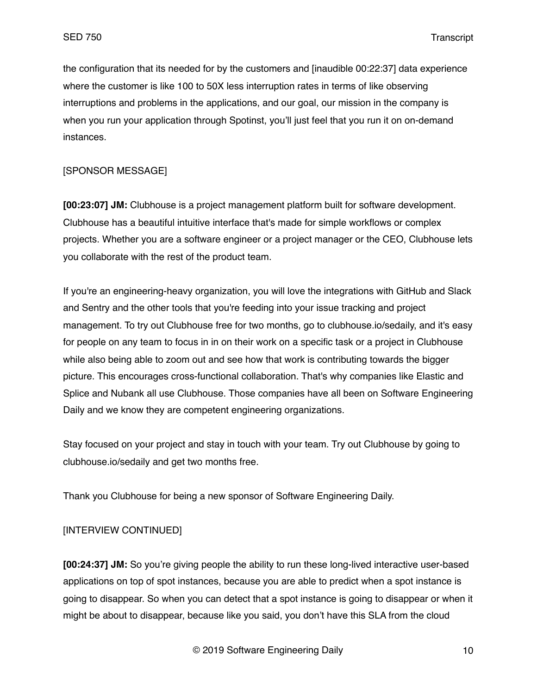the configuration that its needed for by the customers and [inaudible 00:22:37] data experience where the customer is like 100 to 50X less interruption rates in terms of like observing interruptions and problems in the applications, and our goal, our mission in the company is when you run your application through Spotinst, you'll just feel that you run it on on-demand instances.

## [SPONSOR MESSAGE]

**[00:23:07] JM:** Clubhouse is a project management platform built for software development. Clubhouse has a beautiful intuitive interface that's made for simple workflows or complex projects. Whether you are a software engineer or a project manager or the CEO, Clubhouse lets you collaborate with the rest of the product team.

If you're an engineering-heavy organization, you will love the integrations with GitHub and Slack and Sentry and the other tools that you're feeding into your issue tracking and project management. To try out Clubhouse free for two months, go to clubhouse.io/sedaily, and it's easy for people on any team to focus in in on their work on a specific task or a project in Clubhouse while also being able to zoom out and see how that work is contributing towards the bigger picture. This encourages cross-functional collaboration. That's why companies like Elastic and Splice and Nubank all use Clubhouse. Those companies have all been on Software Engineering Daily and we know they are competent engineering organizations.

Stay focused on your project and stay in touch with your team. Try out Clubhouse by going to clubhouse.io/sedaily and get two months free.

Thank you Clubhouse for being a new sponsor of Software Engineering Daily.

# [INTERVIEW CONTINUED]

**[00:24:37] JM:** So you're giving people the ability to run these long-lived interactive user-based applications on top of spot instances, because you are able to predict when a spot instance is going to disappear. So when you can detect that a spot instance is going to disappear or when it might be about to disappear, because like you said, you don't have this SLA from the cloud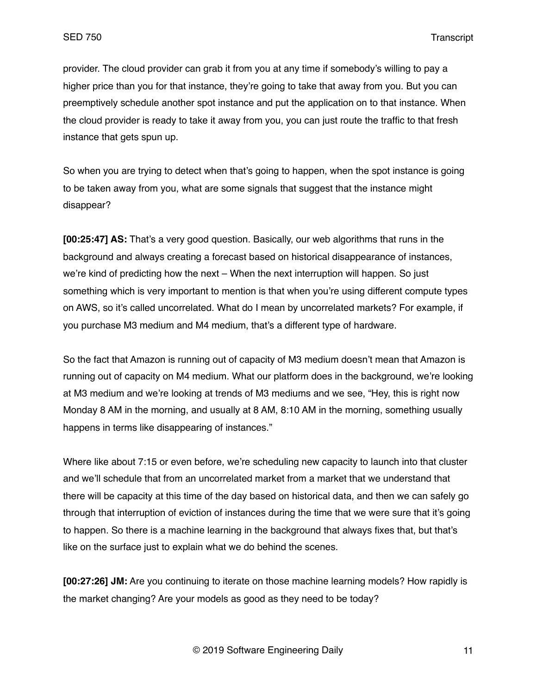provider. The cloud provider can grab it from you at any time if somebody's willing to pay a higher price than you for that instance, they're going to take that away from you. But you can preemptively schedule another spot instance and put the application on to that instance. When the cloud provider is ready to take it away from you, you can just route the traffic to that fresh instance that gets spun up.

So when you are trying to detect when that's going to happen, when the spot instance is going to be taken away from you, what are some signals that suggest that the instance might disappear?

**[00:25:47] AS:** That's a very good question. Basically, our web algorithms that runs in the background and always creating a forecast based on historical disappearance of instances, we're kind of predicting how the next – When the next interruption will happen. So just something which is very important to mention is that when you're using different compute types on AWS, so it's called uncorrelated. What do I mean by uncorrelated markets? For example, if you purchase M3 medium and M4 medium, that's a different type of hardware.

So the fact that Amazon is running out of capacity of M3 medium doesn't mean that Amazon is running out of capacity on M4 medium. What our platform does in the background, we're looking at M3 medium and we're looking at trends of M3 mediums and we see, "Hey, this is right now Monday 8 AM in the morning, and usually at 8 AM, 8:10 AM in the morning, something usually happens in terms like disappearing of instances."

Where like about 7:15 or even before, we're scheduling new capacity to launch into that cluster and we'll schedule that from an uncorrelated market from a market that we understand that there will be capacity at this time of the day based on historical data, and then we can safely go through that interruption of eviction of instances during the time that we were sure that it's going to happen. So there is a machine learning in the background that always fixes that, but that's like on the surface just to explain what we do behind the scenes.

**[00:27:26] JM:** Are you continuing to iterate on those machine learning models? How rapidly is the market changing? Are your models as good as they need to be today?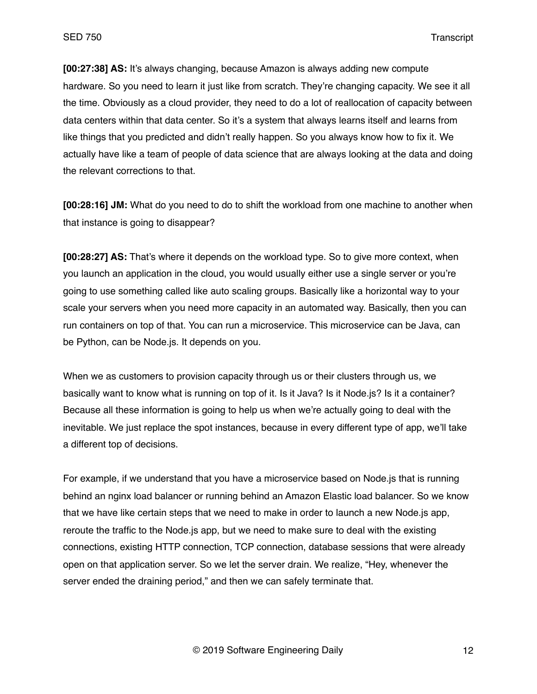**[00:27:38] AS:** It's always changing, because Amazon is always adding new compute hardware. So you need to learn it just like from scratch. They're changing capacity. We see it all the time. Obviously as a cloud provider, they need to do a lot of reallocation of capacity between data centers within that data center. So it's a system that always learns itself and learns from like things that you predicted and didn't really happen. So you always know how to fix it. We actually have like a team of people of data science that are always looking at the data and doing the relevant corrections to that.

**[00:28:16] JM:** What do you need to do to shift the workload from one machine to another when that instance is going to disappear?

**[00:28:27] AS:** That's where it depends on the workload type. So to give more context, when you launch an application in the cloud, you would usually either use a single server or you're going to use something called like auto scaling groups. Basically like a horizontal way to your scale your servers when you need more capacity in an automated way. Basically, then you can run containers on top of that. You can run a microservice. This microservice can be Java, can be Python, can be Node.js. It depends on you.

When we as customers to provision capacity through us or their clusters through us, we basically want to know what is running on top of it. Is it Java? Is it Node.js? Is it a container? Because all these information is going to help us when we're actually going to deal with the inevitable. We just replace the spot instances, because in every different type of app, we'll take a different top of decisions.

For example, if we understand that you have a microservice based on Node.js that is running behind an nginx load balancer or running behind an Amazon Elastic load balancer. So we know that we have like certain steps that we need to make in order to launch a new Node.js app, reroute the traffic to the Node.js app, but we need to make sure to deal with the existing connections, existing HTTP connection, TCP connection, database sessions that were already open on that application server. So we let the server drain. We realize, "Hey, whenever the server ended the draining period," and then we can safely terminate that.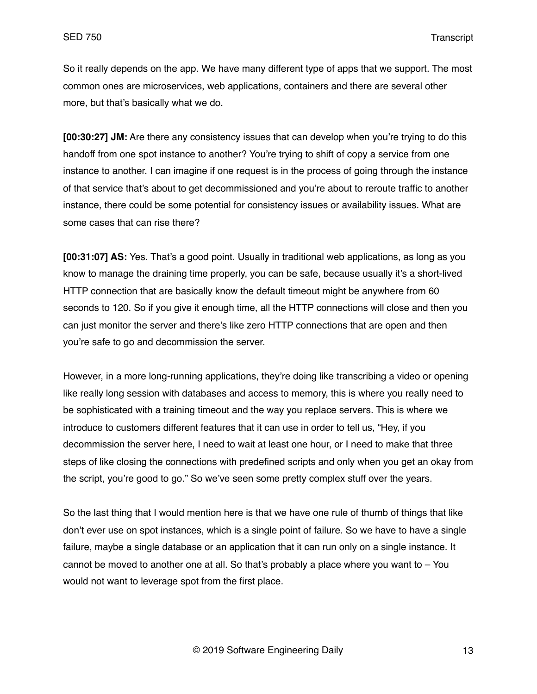So it really depends on the app. We have many different type of apps that we support. The most common ones are microservices, web applications, containers and there are several other more, but that's basically what we do.

**[00:30:27] JM:** Are there any consistency issues that can develop when you're trying to do this handoff from one spot instance to another? You're trying to shift of copy a service from one instance to another. I can imagine if one request is in the process of going through the instance of that service that's about to get decommissioned and you're about to reroute traffic to another instance, there could be some potential for consistency issues or availability issues. What are some cases that can rise there?

**[00:31:07] AS:** Yes. That's a good point. Usually in traditional web applications, as long as you know to manage the draining time properly, you can be safe, because usually it's a short-lived HTTP connection that are basically know the default timeout might be anywhere from 60 seconds to 120. So if you give it enough time, all the HTTP connections will close and then you can just monitor the server and there's like zero HTTP connections that are open and then you're safe to go and decommission the server.

However, in a more long-running applications, they're doing like transcribing a video or opening like really long session with databases and access to memory, this is where you really need to be sophisticated with a training timeout and the way you replace servers. This is where we introduce to customers different features that it can use in order to tell us, "Hey, if you decommission the server here, I need to wait at least one hour, or I need to make that three steps of like closing the connections with predefined scripts and only when you get an okay from the script, you're good to go." So we've seen some pretty complex stuff over the years.

So the last thing that I would mention here is that we have one rule of thumb of things that like don't ever use on spot instances, which is a single point of failure. So we have to have a single failure, maybe a single database or an application that it can run only on a single instance. It cannot be moved to another one at all. So that's probably a place where you want to  $-$  You would not want to leverage spot from the first place.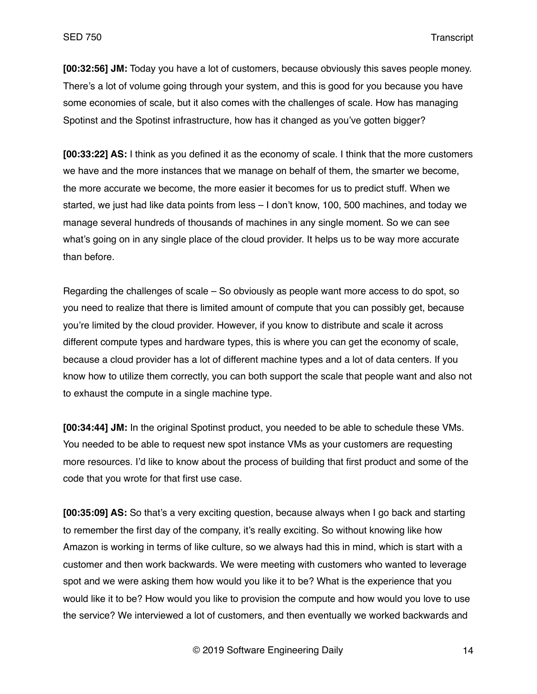**[00:32:56] JM:** Today you have a lot of customers, because obviously this saves people money. There's a lot of volume going through your system, and this is good for you because you have some economies of scale, but it also comes with the challenges of scale. How has managing Spotinst and the Spotinst infrastructure, how has it changed as you've gotten bigger?

**[00:33:22] AS:** I think as you defined it as the economy of scale. I think that the more customers we have and the more instances that we manage on behalf of them, the smarter we become, the more accurate we become, the more easier it becomes for us to predict stuff. When we started, we just had like data points from less – I don't know, 100, 500 machines, and today we manage several hundreds of thousands of machines in any single moment. So we can see what's going on in any single place of the cloud provider. It helps us to be way more accurate than before.

Regarding the challenges of scale – So obviously as people want more access to do spot, so you need to realize that there is limited amount of compute that you can possibly get, because you're limited by the cloud provider. However, if you know to distribute and scale it across different compute types and hardware types, this is where you can get the economy of scale, because a cloud provider has a lot of different machine types and a lot of data centers. If you know how to utilize them correctly, you can both support the scale that people want and also not to exhaust the compute in a single machine type.

**[00:34:44] JM:** In the original Spotinst product, you needed to be able to schedule these VMs. You needed to be able to request new spot instance VMs as your customers are requesting more resources. I'd like to know about the process of building that first product and some of the code that you wrote for that first use case.

**[00:35:09] AS:** So that's a very exciting question, because always when I go back and starting to remember the first day of the company, it's really exciting. So without knowing like how Amazon is working in terms of like culture, so we always had this in mind, which is start with a customer and then work backwards. We were meeting with customers who wanted to leverage spot and we were asking them how would you like it to be? What is the experience that you would like it to be? How would you like to provision the compute and how would you love to use the service? We interviewed a lot of customers, and then eventually we worked backwards and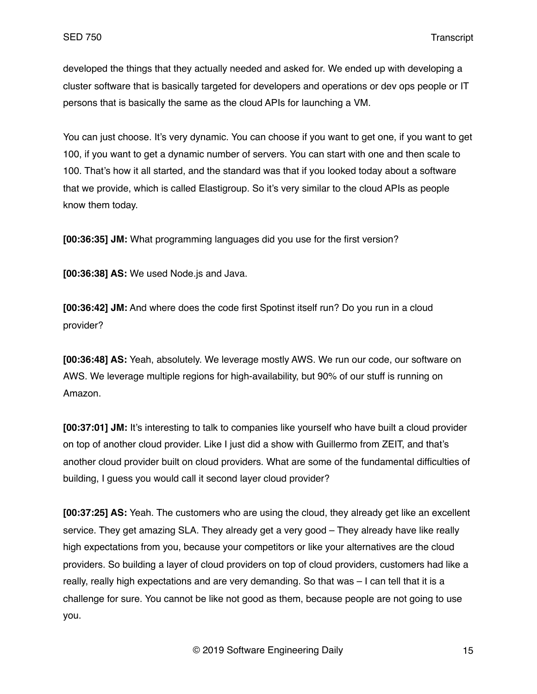developed the things that they actually needed and asked for. We ended up with developing a cluster software that is basically targeted for developers and operations or dev ops people or IT persons that is basically the same as the cloud APIs for launching a VM.

You can just choose. It's very dynamic. You can choose if you want to get one, if you want to get 100, if you want to get a dynamic number of servers. You can start with one and then scale to 100. That's how it all started, and the standard was that if you looked today about a software that we provide, which is called Elastigroup. So it's very similar to the cloud APIs as people know them today.

**[00:36:35] JM:** What programming languages did you use for the first version?

**[00:36:38] AS:** We used Node.js and Java.

**[00:36:42] JM:** And where does the code first Spotinst itself run? Do you run in a cloud provider?

**[00:36:48] AS:** Yeah, absolutely. We leverage mostly AWS. We run our code, our software on AWS. We leverage multiple regions for high-availability, but 90% of our stuff is running on Amazon.

**[00:37:01] JM:** It's interesting to talk to companies like yourself who have built a cloud provider on top of another cloud provider. Like I just did a show with Guillermo from ZEIT, and that's another cloud provider built on cloud providers. What are some of the fundamental difficulties of building, I guess you would call it second layer cloud provider?

**[00:37:25] AS:** Yeah. The customers who are using the cloud, they already get like an excellent service. They get amazing SLA. They already get a very good – They already have like really high expectations from you, because your competitors or like your alternatives are the cloud providers. So building a layer of cloud providers on top of cloud providers, customers had like a really, really high expectations and are very demanding. So that was – I can tell that it is a challenge for sure. You cannot be like not good as them, because people are not going to use you.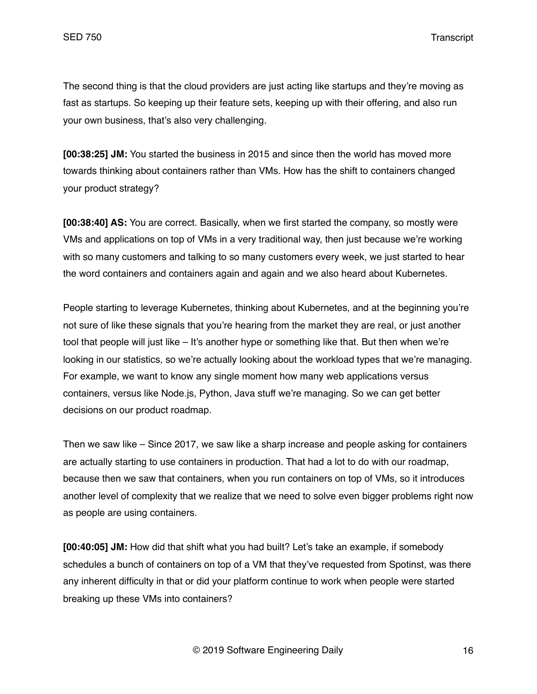The second thing is that the cloud providers are just acting like startups and they're moving as fast as startups. So keeping up their feature sets, keeping up with their offering, and also run your own business, that's also very challenging.

**[00:38:25] JM:** You started the business in 2015 and since then the world has moved more towards thinking about containers rather than VMs. How has the shift to containers changed your product strategy?

**[00:38:40] AS:** You are correct. Basically, when we first started the company, so mostly were VMs and applications on top of VMs in a very traditional way, then just because we're working with so many customers and talking to so many customers every week, we just started to hear the word containers and containers again and again and we also heard about Kubernetes.

People starting to leverage Kubernetes, thinking about Kubernetes, and at the beginning you're not sure of like these signals that you're hearing from the market they are real, or just another tool that people will just like – It's another hype or something like that. But then when we're looking in our statistics, so we're actually looking about the workload types that we're managing. For example, we want to know any single moment how many web applications versus containers, versus like Node.js, Python, Java stuff we're managing. So we can get better decisions on our product roadmap.

Then we saw like – Since 2017, we saw like a sharp increase and people asking for containers are actually starting to use containers in production. That had a lot to do with our roadmap, because then we saw that containers, when you run containers on top of VMs, so it introduces another level of complexity that we realize that we need to solve even bigger problems right now as people are using containers.

**[00:40:05] JM:** How did that shift what you had built? Let's take an example, if somebody schedules a bunch of containers on top of a VM that they've requested from Spotinst, was there any inherent difficulty in that or did your platform continue to work when people were started breaking up these VMs into containers?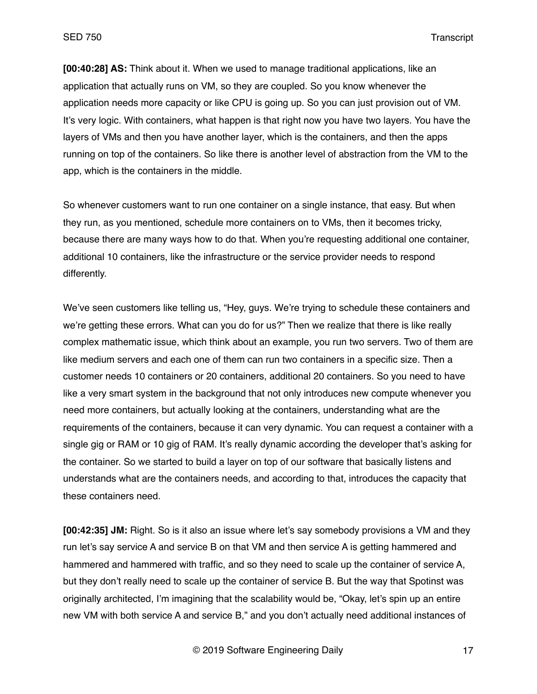**[00:40:28] AS:** Think about it. When we used to manage traditional applications, like an application that actually runs on VM, so they are coupled. So you know whenever the application needs more capacity or like CPU is going up. So you can just provision out of VM. It's very logic. With containers, what happen is that right now you have two layers. You have the layers of VMs and then you have another layer, which is the containers, and then the apps running on top of the containers. So like there is another level of abstraction from the VM to the app, which is the containers in the middle.

So whenever customers want to run one container on a single instance, that easy. But when they run, as you mentioned, schedule more containers on to VMs, then it becomes tricky, because there are many ways how to do that. When you're requesting additional one container, additional 10 containers, like the infrastructure or the service provider needs to respond differently.

We've seen customers like telling us, "Hey, guys. We're trying to schedule these containers and we're getting these errors. What can you do for us?" Then we realize that there is like really complex mathematic issue, which think about an example, you run two servers. Two of them are like medium servers and each one of them can run two containers in a specific size. Then a customer needs 10 containers or 20 containers, additional 20 containers. So you need to have like a very smart system in the background that not only introduces new compute whenever you need more containers, but actually looking at the containers, understanding what are the requirements of the containers, because it can very dynamic. You can request a container with a single gig or RAM or 10 gig of RAM. It's really dynamic according the developer that's asking for the container. So we started to build a layer on top of our software that basically listens and understands what are the containers needs, and according to that, introduces the capacity that these containers need.

**[00:42:35] JM:** Right. So is it also an issue where let's say somebody provisions a VM and they run let's say service A and service B on that VM and then service A is getting hammered and hammered and hammered with traffic, and so they need to scale up the container of service A, but they don't really need to scale up the container of service B. But the way that Spotinst was originally architected, I'm imagining that the scalability would be, "Okay, let's spin up an entire new VM with both service A and service B," and you don't actually need additional instances of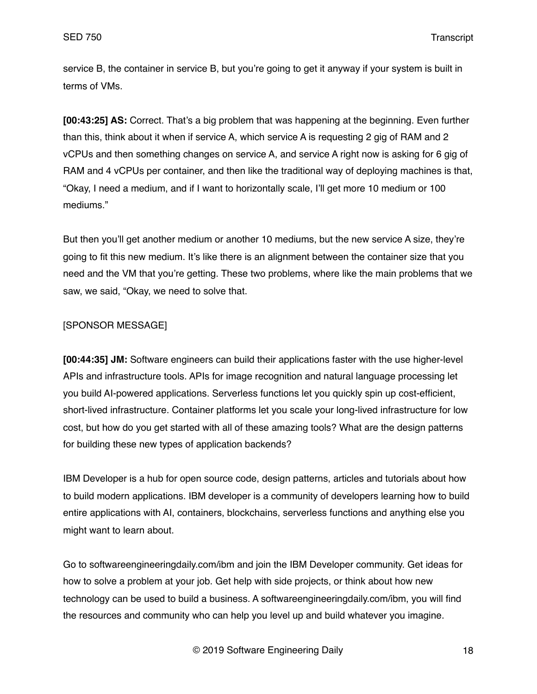service B, the container in service B, but you're going to get it anyway if your system is built in terms of VMs.

**[00:43:25] AS:** Correct. That's a big problem that was happening at the beginning. Even further than this, think about it when if service A, which service A is requesting 2 gig of RAM and 2 vCPUs and then something changes on service A, and service A right now is asking for 6 gig of RAM and 4 vCPUs per container, and then like the traditional way of deploying machines is that, "Okay, I need a medium, and if I want to horizontally scale, I'll get more 10 medium or 100 mediums."

But then you'll get another medium or another 10 mediums, but the new service A size, they're going to fit this new medium. It's like there is an alignment between the container size that you need and the VM that you're getting. These two problems, where like the main problems that we saw, we said, "Okay, we need to solve that.

# [SPONSOR MESSAGE]

**[00:44:35] JM:** Software engineers can build their applications faster with the use higher-level APIs and infrastructure tools. APIs for image recognition and natural language processing let you build AI-powered applications. Serverless functions let you quickly spin up cost-efficient, short-lived infrastructure. Container platforms let you scale your long-lived infrastructure for low cost, but how do you get started with all of these amazing tools? What are the design patterns for building these new types of application backends?

IBM Developer is a hub for open source code, design patterns, articles and tutorials about how to build modern applications. IBM developer is a community of developers learning how to build entire applications with AI, containers, blockchains, serverless functions and anything else you might want to learn about.

Go to softwareengineeringdaily.com/ibm and join the IBM Developer community. Get ideas for how to solve a problem at your job. Get help with side projects, or think about how new technology can be used to build a business. A softwareengineeringdaily.com/ibm, you will find the resources and community who can help you level up and build whatever you imagine.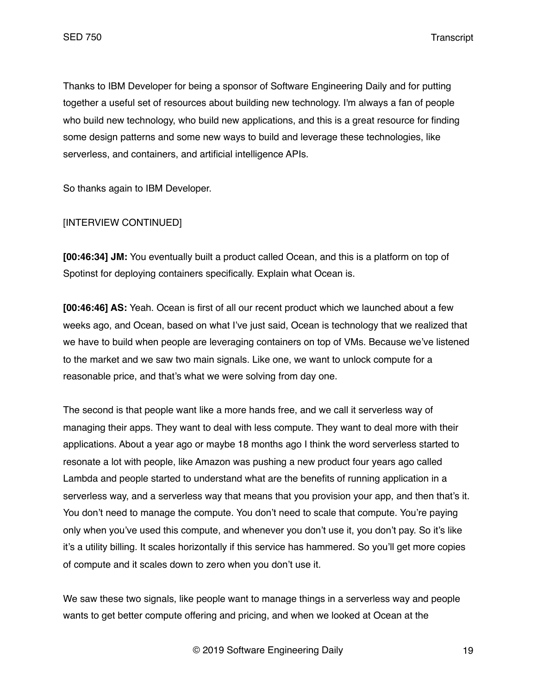Thanks to IBM Developer for being a sponsor of Software Engineering Daily and for putting together a useful set of resources about building new technology. I'm always a fan of people who build new technology, who build new applications, and this is a great resource for finding some design patterns and some new ways to build and leverage these technologies, like serverless, and containers, and artificial intelligence APIs.

So thanks again to IBM Developer.

## [INTERVIEW CONTINUED]

**[00:46:34] JM:** You eventually built a product called Ocean, and this is a platform on top of Spotinst for deploying containers specifically. Explain what Ocean is.

**[00:46:46] AS:** Yeah. Ocean is first of all our recent product which we launched about a few weeks ago, and Ocean, based on what I've just said, Ocean is technology that we realized that we have to build when people are leveraging containers on top of VMs. Because we've listened to the market and we saw two main signals. Like one, we want to unlock compute for a reasonable price, and that's what we were solving from day one.

The second is that people want like a more hands free, and we call it serverless way of managing their apps. They want to deal with less compute. They want to deal more with their applications. About a year ago or maybe 18 months ago I think the word serverless started to resonate a lot with people, like Amazon was pushing a new product four years ago called Lambda and people started to understand what are the benefits of running application in a serverless way, and a serverless way that means that you provision your app, and then that's it. You don't need to manage the compute. You don't need to scale that compute. You're paying only when you've used this compute, and whenever you don't use it, you don't pay. So it's like it's a utility billing. It scales horizontally if this service has hammered. So you'll get more copies of compute and it scales down to zero when you don't use it.

We saw these two signals, like people want to manage things in a serverless way and people wants to get better compute offering and pricing, and when we looked at Ocean at the

© 2019 Software Engineering Daily 19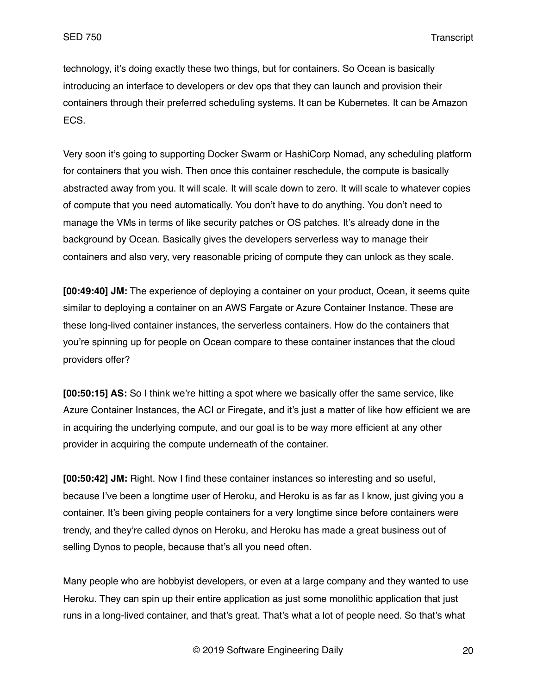technology, it's doing exactly these two things, but for containers. So Ocean is basically introducing an interface to developers or dev ops that they can launch and provision their containers through their preferred scheduling systems. It can be Kubernetes. It can be Amazon ECS.

Very soon it's going to supporting Docker Swarm or HashiCorp Nomad, any scheduling platform for containers that you wish. Then once this container reschedule, the compute is basically abstracted away from you. It will scale. It will scale down to zero. It will scale to whatever copies of compute that you need automatically. You don't have to do anything. You don't need to manage the VMs in terms of like security patches or OS patches. It's already done in the background by Ocean. Basically gives the developers serverless way to manage their containers and also very, very reasonable pricing of compute they can unlock as they scale.

**[00:49:40] JM:** The experience of deploying a container on your product, Ocean, it seems quite similar to deploying a container on an AWS Fargate or Azure Container Instance. These are these long-lived container instances, the serverless containers. How do the containers that you're spinning up for people on Ocean compare to these container instances that the cloud providers offer?

**[00:50:15] AS:** So I think we're hitting a spot where we basically offer the same service, like Azure Container Instances, the ACI or Firegate, and it's just a matter of like how efficient we are in acquiring the underlying compute, and our goal is to be way more efficient at any other provider in acquiring the compute underneath of the container.

**[00:50:42] JM:** Right. Now I find these container instances so interesting and so useful, because I've been a longtime user of Heroku, and Heroku is as far as I know, just giving you a container. It's been giving people containers for a very longtime since before containers were trendy, and they're called dynos on Heroku, and Heroku has made a great business out of selling Dynos to people, because that's all you need often.

Many people who are hobbyist developers, or even at a large company and they wanted to use Heroku. They can spin up their entire application as just some monolithic application that just runs in a long-lived container, and that's great. That's what a lot of people need. So that's what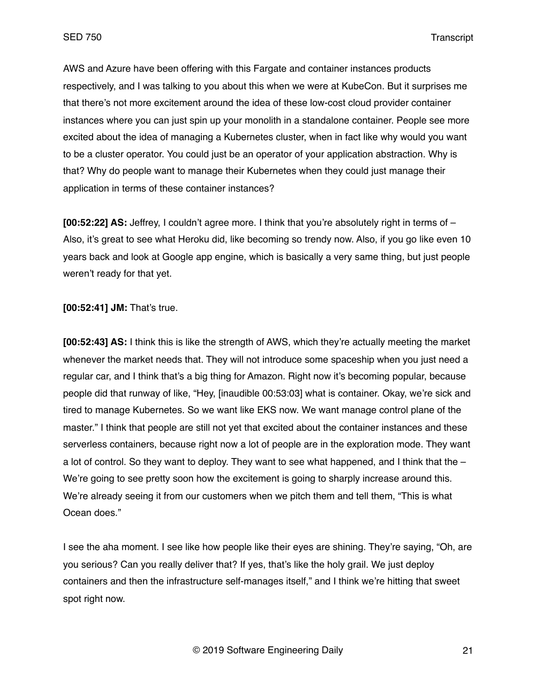AWS and Azure have been offering with this Fargate and container instances products respectively, and I was talking to you about this when we were at KubeCon. But it surprises me that there's not more excitement around the idea of these low-cost cloud provider container instances where you can just spin up your monolith in a standalone container. People see more excited about the idea of managing a Kubernetes cluster, when in fact like why would you want to be a cluster operator. You could just be an operator of your application abstraction. Why is that? Why do people want to manage their Kubernetes when they could just manage their application in terms of these container instances?

**[00:52:22] AS:** Jeffrey, I couldn't agree more. I think that you're absolutely right in terms of – Also, it's great to see what Heroku did, like becoming so trendy now. Also, if you go like even 10 years back and look at Google app engine, which is basically a very same thing, but just people weren't ready for that yet.

**[00:52:41] JM:** That's true.

**[00:52:43] AS:** I think this is like the strength of AWS, which they're actually meeting the market whenever the market needs that. They will not introduce some spaceship when you just need a regular car, and I think that's a big thing for Amazon. Right now it's becoming popular, because people did that runway of like, "Hey, [inaudible 00:53:03] what is container. Okay, we're sick and tired to manage Kubernetes. So we want like EKS now. We want manage control plane of the master." I think that people are still not yet that excited about the container instances and these serverless containers, because right now a lot of people are in the exploration mode. They want a lot of control. So they want to deploy. They want to see what happened, and I think that the – We're going to see pretty soon how the excitement is going to sharply increase around this. We're already seeing it from our customers when we pitch them and tell them, "This is what Ocean does."

I see the aha moment. I see like how people like their eyes are shining. They're saying, "Oh, are you serious? Can you really deliver that? If yes, that's like the holy grail. We just deploy containers and then the infrastructure self-manages itself," and I think we're hitting that sweet spot right now.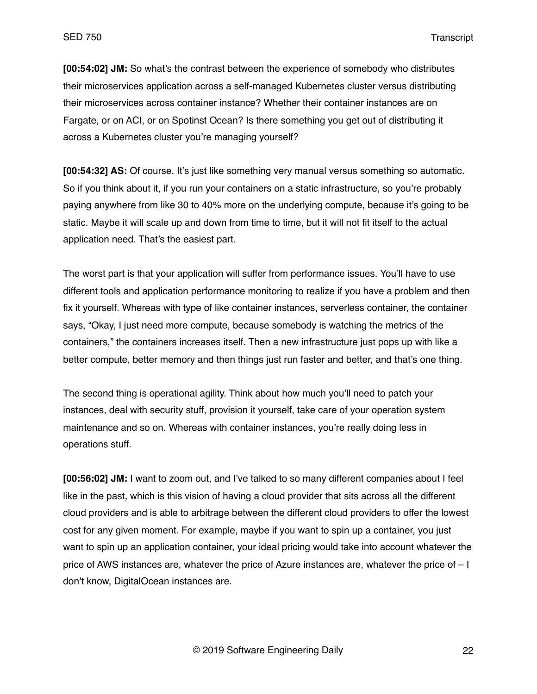**[00:54:02] JM:** So what's the contrast between the experience of somebody who distributes their microservices application across a self-managed Kubernetes cluster versus distributing their microservices across container instance? Whether their container instances are on Fargate, or on ACI, or on Spotinst Ocean? Is there something you get out of distributing it across a Kubernetes cluster you're managing yourself?

**[00:54:32] AS:** Of course. It's just like something very manual versus something so automatic. So if you think about it, if you run your containers on a static infrastructure, so you're probably paying anywhere from like 30 to 40% more on the underlying compute, because it's going to be static. Maybe it will scale up and down from time to time, but it will not fit itself to the actual application need. That's the easiest part.

The worst part is that your application will suffer from performance issues. You'll have to use different tools and application performance monitoring to realize if you have a problem and then fix it yourself. Whereas with type of like container instances, serverless container, the container says, "Okay, I just need more compute, because somebody is watching the metrics of the containers," the containers increases itself. Then a new infrastructure just pops up with like a better compute, better memory and then things just run faster and better, and that's one thing.

The second thing is operational agility. Think about how much you'll need to patch your instances, deal with security stuff, provision it yourself, take care of your operation system maintenance and so on. Whereas with container instances, you're really doing less in operations stuff.

**[00:56:02] JM:** I want to zoom out, and I've talked to so many different companies about I feel like in the past, which is this vision of having a cloud provider that sits across all the different cloud providers and is able to arbitrage between the different cloud providers to offer the lowest cost for any given moment. For example, maybe if you want to spin up a container, you just want to spin up an application container, your ideal pricing would take into account whatever the price of AWS instances are, whatever the price of Azure instances are, whatever the price of – I don't know, DigitalOcean instances are.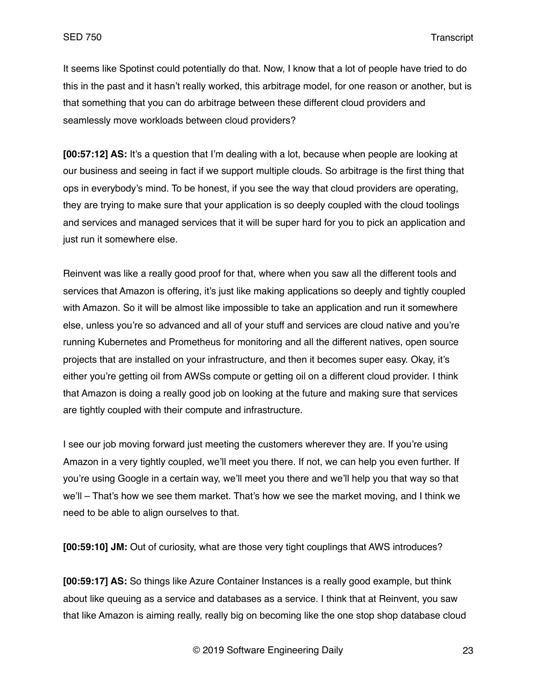It seems like Spotinst could potentially do that. Now, I know that a lot of people have tried to do this in the past and it hasn't really worked, this arbitrage model, for one reason or another, but is that something that you can do arbitrage between these different cloud providers and seamlessly move workloads between cloud providers?

**[00:57:12] AS:** It's a question that I'm dealing with a lot, because when people are looking at our business and seeing in fact if we support multiple clouds. So arbitrage is the first thing that ops in everybody's mind. To be honest, if you see the way that cloud providers are operating, they are trying to make sure that your application is so deeply coupled with the cloud toolings and services and managed services that it will be super hard for you to pick an application and just run it somewhere else.

Reinvent was like a really good proof for that, where when you saw all the different tools and services that Amazon is offering, it's just like making applications so deeply and tightly coupled with Amazon. So it will be almost like impossible to take an application and run it somewhere else, unless you're so advanced and all of your stuff and services are cloud native and you're running Kubernetes and Prometheus for monitoring and all the different natives, open source projects that are installed on your infrastructure, and then it becomes super easy. Okay, it's either you're getting oil from AWSs compute or getting oil on a different cloud provider. I think that Amazon is doing a really good job on looking at the future and making sure that services are tightly coupled with their compute and infrastructure.

I see our job moving forward just meeting the customers wherever they are. If you're using Amazon in a very tightly coupled, we'll meet you there. If not, we can help you even further. If you're using Google in a certain way, we'll meet you there and we'll help you that way so that we'll – That's how we see them market. That's how we see the market moving, and I think we need to be able to align ourselves to that.

**[00:59:10] JM:** Out of curiosity, what are those very tight couplings that AWS introduces?

**[00:59:17] AS:** So things like Azure Container Instances is a really good example, but think about like queuing as a service and databases as a service. I think that at Reinvent, you saw that like Amazon is aiming really, really big on becoming like the one stop shop database cloud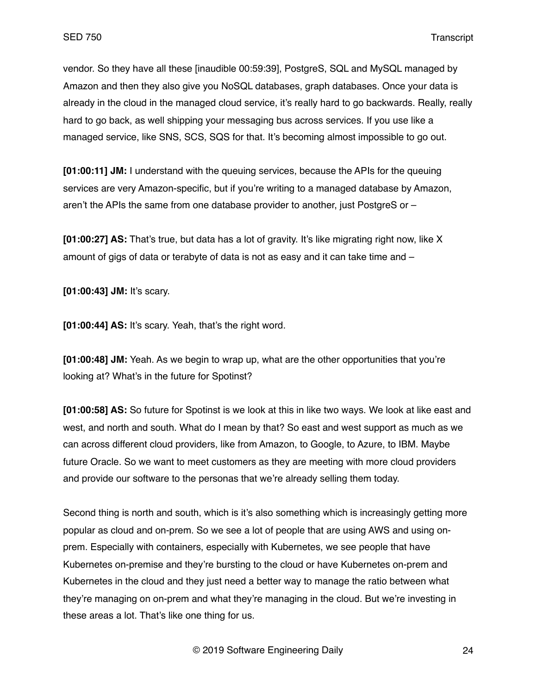vendor. So they have all these [inaudible 00:59:39], PostgreS, SQL and MySQL managed by Amazon and then they also give you NoSQL databases, graph databases. Once your data is already in the cloud in the managed cloud service, it's really hard to go backwards. Really, really hard to go back, as well shipping your messaging bus across services. If you use like a managed service, like SNS, SCS, SQS for that. It's becoming almost impossible to go out.

**[01:00:11] JM:** I understand with the queuing services, because the APIs for the queuing services are very Amazon-specific, but if you're writing to a managed database by Amazon, aren't the APIs the same from one database provider to another, just PostgreS or –

**[01:00:27] AS:** That's true, but data has a lot of gravity. It's like migrating right now, like X amount of gigs of data or terabyte of data is not as easy and it can take time and –

**[01:00:43] JM:** It's scary.

**[01:00:44] AS:** It's scary. Yeah, that's the right word.

**[01:00:48] JM:** Yeah. As we begin to wrap up, what are the other opportunities that you're looking at? What's in the future for Spotinst?

**[01:00:58] AS:** So future for Spotinst is we look at this in like two ways. We look at like east and west, and north and south. What do I mean by that? So east and west support as much as we can across different cloud providers, like from Amazon, to Google, to Azure, to IBM. Maybe future Oracle. So we want to meet customers as they are meeting with more cloud providers and provide our software to the personas that we're already selling them today.

Second thing is north and south, which is it's also something which is increasingly getting more popular as cloud and on-prem. So we see a lot of people that are using AWS and using onprem. Especially with containers, especially with Kubernetes, we see people that have Kubernetes on-premise and they're bursting to the cloud or have Kubernetes on-prem and Kubernetes in the cloud and they just need a better way to manage the ratio between what they're managing on on-prem and what they're managing in the cloud. But we're investing in these areas a lot. That's like one thing for us.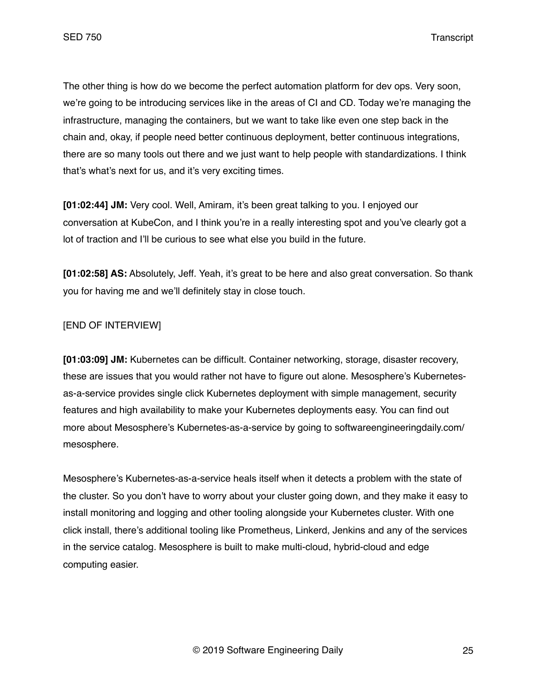The other thing is how do we become the perfect automation platform for dev ops. Very soon, we're going to be introducing services like in the areas of CI and CD. Today we're managing the infrastructure, managing the containers, but we want to take like even one step back in the chain and, okay, if people need better continuous deployment, better continuous integrations, there are so many tools out there and we just want to help people with standardizations. I think that's what's next for us, and it's very exciting times.

**[01:02:44] JM:** Very cool. Well, Amiram, it's been great talking to you. I enjoyed our conversation at KubeCon, and I think you're in a really interesting spot and you've clearly got a lot of traction and I'll be curious to see what else you build in the future.

**[01:02:58] AS:** Absolutely, Jeff. Yeah, it's great to be here and also great conversation. So thank you for having me and we'll definitely stay in close touch.

# [END OF INTERVIEW]

**[01:03:09] JM:** Kubernetes can be difficult. Container networking, storage, disaster recovery, these are issues that you would rather not have to figure out alone. Mesosphere's Kubernetesas-a-service provides single click Kubernetes deployment with simple management, security features and high availability to make your Kubernetes deployments easy. You can find out more about Mesosphere's Kubernetes-as-a-service by going to softwareengineeringdaily.com/ mesosphere.

Mesosphere's Kubernetes-as-a-service heals itself when it detects a problem with the state of the cluster. So you don't have to worry about your cluster going down, and they make it easy to install monitoring and logging and other tooling alongside your Kubernetes cluster. With one click install, there's additional tooling like Prometheus, Linkerd, Jenkins and any of the services in the service catalog. Mesosphere is built to make multi-cloud, hybrid-cloud and edge computing easier.